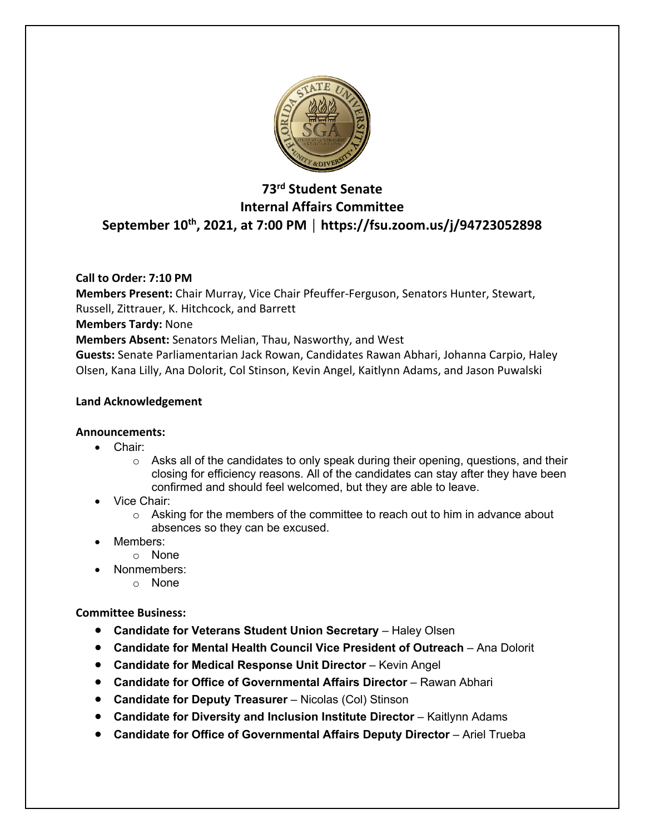

# **73rd Student Senate Internal Affairs Committee September 10th, 2021, at 7:00 PM │ https://fsu.zoom.us/j/94723052898**

## **Call to Order: 7:10 PM**

**Members Present:** Chair Murray, Vice Chair Pfeuffer-Ferguson, Senators Hunter, Stewart, Russell, Zittrauer, K. Hitchcock, and Barrett

### **Members Tardy:** None

**Members Absent:** Senators Melian, Thau, Nasworthy, and West

**Guests:** Senate Parliamentarian Jack Rowan, Candidates Rawan Abhari, Johanna Carpio, Haley Olsen, Kana Lilly, Ana Dolorit, Col Stinson, Kevin Angel, Kaitlynn Adams, and Jason Puwalski

### **Land Acknowledgement**

#### **Announcements:**

- Chair:
	- $\circ$  Asks all of the candidates to only speak during their opening, questions, and their closing for efficiency reasons. All of the candidates can stay after they have been confirmed and should feel welcomed, but they are able to leave.
- Vice Chair:
	- $\circ$  Asking for the members of the committee to reach out to him in advance about absences so they can be excused.
- Members:
	- o None
	- Nonmembers:
		- o None

**Committee Business:** 

- **Candidate for Veterans Student Union Secretary** Haley Olsen
- **Candidate for Mental Health Council Vice President of Outreach** Ana Dolorit
- **Candidate for Medical Response Unit Director** Kevin Angel
- **Candidate for Office of Governmental Affairs Director** Rawan Abhari
- **Candidate for Deputy Treasurer** Nicolas (Col) Stinson
- **Candidate for Diversity and Inclusion Institute Director** Kaitlynn Adams
- **Candidate for Office of Governmental Affairs Deputy Director** Ariel Trueba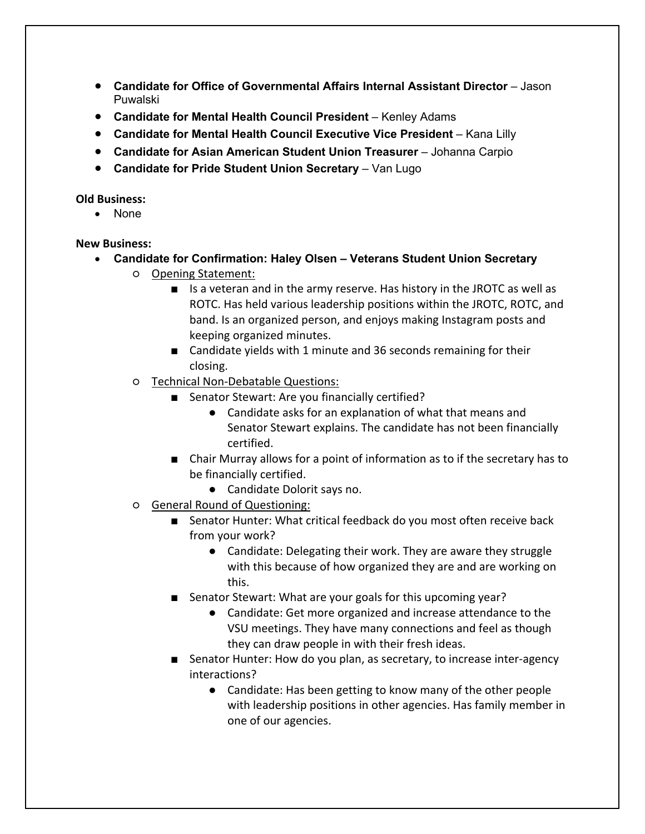- **Candidate for Office of Governmental Affairs Internal Assistant Director** Jason Puwalski
- **Candidate for Mental Health Council President** Kenley Adams
- **Candidate for Mental Health Council Executive Vice President** Kana Lilly
- **Candidate for Asian American Student Union Treasurer** Johanna Carpio
- **Candidate for Pride Student Union Secretary** Van Lugo

#### **Old Business:**

• None

## **New Business:**

- **Candidate for Confirmation: Haley Olsen – Veterans Student Union Secretary**
	- Opening Statement:
		- Is a veteran and in the army reserve. Has history in the JROTC as well as ROTC. Has held various leadership positions within the JROTC, ROTC, and band. Is an organized person, and enjoys making Instagram posts and keeping organized minutes.
		- Candidate yields with 1 minute and 36 seconds remaining for their closing.
		- Technical Non-Debatable Questions:
			- Senator Stewart: Are you financially certified?
				- Candidate asks for an explanation of what that means and Senator Stewart explains. The candidate has not been financially certified.
			- Chair Murray allows for a point of information as to if the secretary has to be financially certified.
				- Candidate Dolorit says no.
		- General Round of Questioning:
			- Senator Hunter: What critical feedback do you most often receive back from your work?
				- Candidate: Delegating their work. They are aware they struggle with this because of how organized they are and are working on this.
			- Senator Stewart: What are your goals for this upcoming year?
				- Candidate: Get more organized and increase attendance to the VSU meetings. They have many connections and feel as though they can draw people in with their fresh ideas.
			- Senator Hunter: How do you plan, as secretary, to increase inter-agency interactions?
				- Candidate: Has been getting to know many of the other people with leadership positions in other agencies. Has family member in one of our agencies.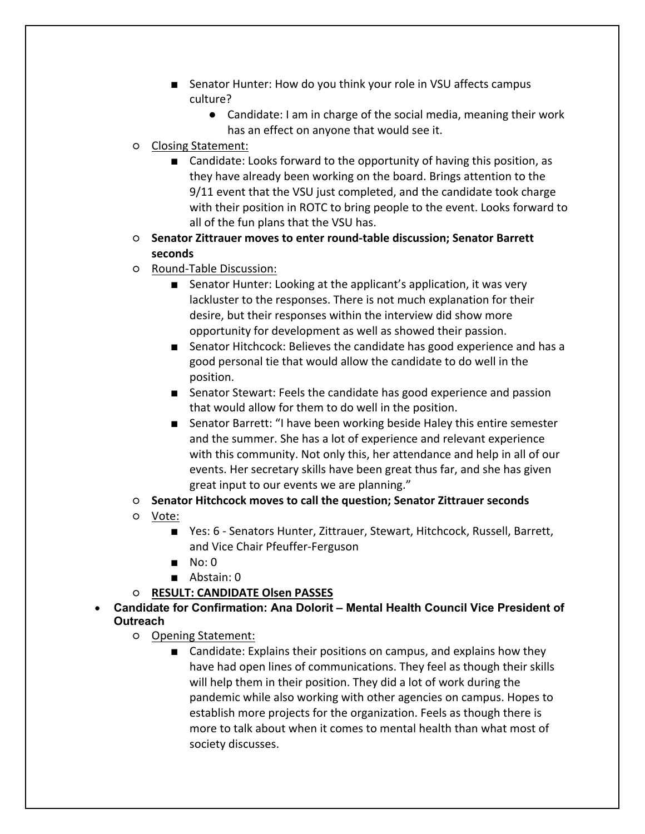- Senator Hunter: How do you think your role in VSU affects campus culture?
	- Candidate: I am in charge of the social media, meaning their work has an effect on anyone that would see it.
- Closing Statement:
	- Candidate: Looks forward to the opportunity of having this position, as they have already been working on the board. Brings attention to the 9/11 event that the VSU just completed, and the candidate took charge with their position in ROTC to bring people to the event. Looks forward to all of the fun plans that the VSU has.
- **Senator Zittrauer moves to enter round-table discussion; Senator Barrett seconds**
- Round-Table Discussion:
	- Senator Hunter: Looking at the applicant's application, it was very lackluster to the responses. There is not much explanation for their desire, but their responses within the interview did show more opportunity for development as well as showed their passion.
	- Senator Hitchcock: Believes the candidate has good experience and has a good personal tie that would allow the candidate to do well in the position.
	- Senator Stewart: Feels the candidate has good experience and passion that would allow for them to do well in the position.
	- Senator Barrett: "I have been working beside Haley this entire semester and the summer. She has a lot of experience and relevant experience with this community. Not only this, her attendance and help in all of our events. Her secretary skills have been great thus far, and she has given great input to our events we are planning."
- **Senator Hitchcock moves to call the question; Senator Zittrauer seconds**
- Vote:
	- Yes: 6 Senators Hunter, Zittrauer, Stewart, Hitchcock, Russell, Barrett, and Vice Chair Pfeuffer-Ferguson
	- No: 0
	- Abstain: 0
- **RESULT: CANDIDATE Olsen PASSES**
- **Candidate for Confirmation: Ana Dolorit – Mental Health Council Vice President of Outreach**
	- Opening Statement:
		- Candidate: Explains their positions on campus, and explains how they have had open lines of communications. They feel as though their skills will help them in their position. They did a lot of work during the pandemic while also working with other agencies on campus. Hopes to establish more projects for the organization. Feels as though there is more to talk about when it comes to mental health than what most of society discusses.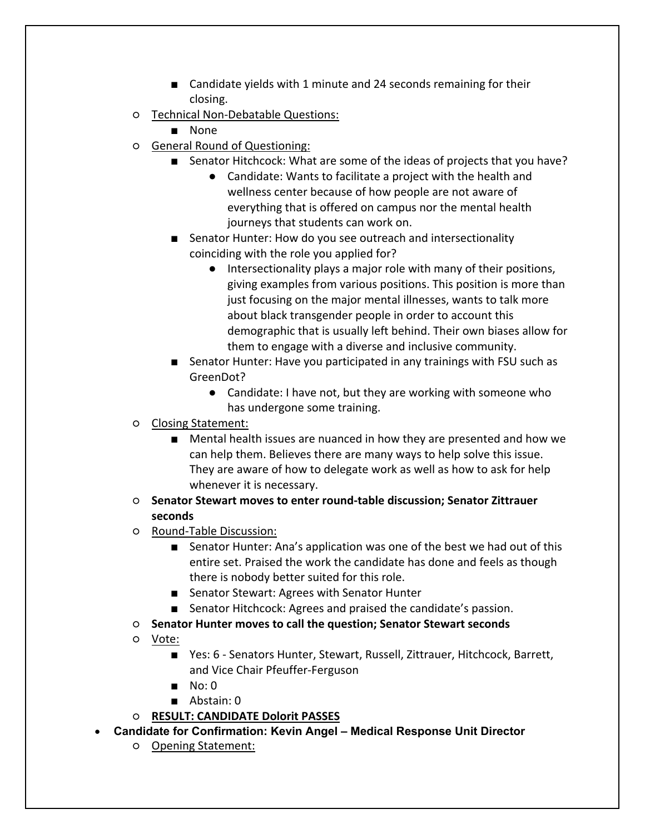- Candidate yields with 1 minute and 24 seconds remaining for their closing.
- Technical Non-Debatable Questions:
	- None
- General Round of Questioning:
	- Senator Hitchcock: What are some of the ideas of projects that you have?
		- Candidate: Wants to facilitate a project with the health and wellness center because of how people are not aware of everything that is offered on campus nor the mental health journeys that students can work on.
	- Senator Hunter: How do you see outreach and intersectionality coinciding with the role you applied for?
		- Intersectionality plays a major role with many of their positions, giving examples from various positions. This position is more than just focusing on the major mental illnesses, wants to talk more about black transgender people in order to account this demographic that is usually left behind. Their own biases allow for them to engage with a diverse and inclusive community.
	- Senator Hunter: Have you participated in any trainings with FSU such as GreenDot?
		- Candidate: I have not, but they are working with someone who has undergone some training.
- Closing Statement:
	- Mental health issues are nuanced in how they are presented and how we can help them. Believes there are many ways to help solve this issue. They are aware of how to delegate work as well as how to ask for help whenever it is necessary.
- **Senator Stewart moves to enter round-table discussion; Senator Zittrauer seconds**
- Round-Table Discussion:
	- Senator Hunter: Ana's application was one of the best we had out of this entire set. Praised the work the candidate has done and feels as though there is nobody better suited for this role.
	- Senator Stewart: Agrees with Senator Hunter
	- Senator Hitchcock: Agrees and praised the candidate's passion.
- **Senator Hunter moves to call the question; Senator Stewart seconds**
- Vote:
	- Yes: 6 Senators Hunter, Stewart, Russell, Zittrauer, Hitchcock, Barrett, and Vice Chair Pfeuffer-Ferguson
	- $\blacksquare$  No: 0
	- Abstain: 0
- **RESULT: CANDIDATE Dolorit PASSES**
- **Candidate for Confirmation: Kevin Angel – Medical Response Unit Director**
	- Opening Statement: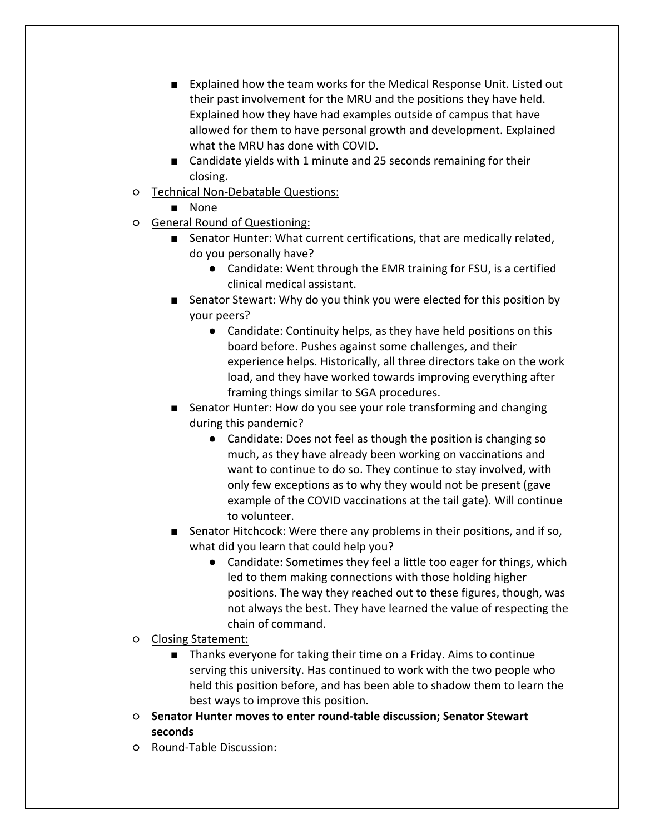- Explained how the team works for the Medical Response Unit. Listed out their past involvement for the MRU and the positions they have held. Explained how they have had examples outside of campus that have allowed for them to have personal growth and development. Explained what the MRU has done with COVID.
- Candidate yields with 1 minute and 25 seconds remaining for their closing.
- Technical Non-Debatable Questions:
	- None
- General Round of Questioning:
	- Senator Hunter: What current certifications, that are medically related, do you personally have?
		- Candidate: Went through the EMR training for FSU, is a certified clinical medical assistant.
	- Senator Stewart: Why do you think you were elected for this position by your peers?
		- Candidate: Continuity helps, as they have held positions on this board before. Pushes against some challenges, and their experience helps. Historically, all three directors take on the work load, and they have worked towards improving everything after framing things similar to SGA procedures.
	- Senator Hunter: How do you see your role transforming and changing during this pandemic?
		- Candidate: Does not feel as though the position is changing so much, as they have already been working on vaccinations and want to continue to do so. They continue to stay involved, with only few exceptions as to why they would not be present (gave example of the COVID vaccinations at the tail gate). Will continue to volunteer.
	- Senator Hitchcock: Were there any problems in their positions, and if so, what did you learn that could help you?
		- Candidate: Sometimes they feel a little too eager for things, which led to them making connections with those holding higher positions. The way they reached out to these figures, though, was not always the best. They have learned the value of respecting the chain of command.
- Closing Statement:
	- Thanks everyone for taking their time on a Friday. Aims to continue serving this university. Has continued to work with the two people who held this position before, and has been able to shadow them to learn the best ways to improve this position.
- **Senator Hunter moves to enter round-table discussion; Senator Stewart seconds**
- Round-Table Discussion: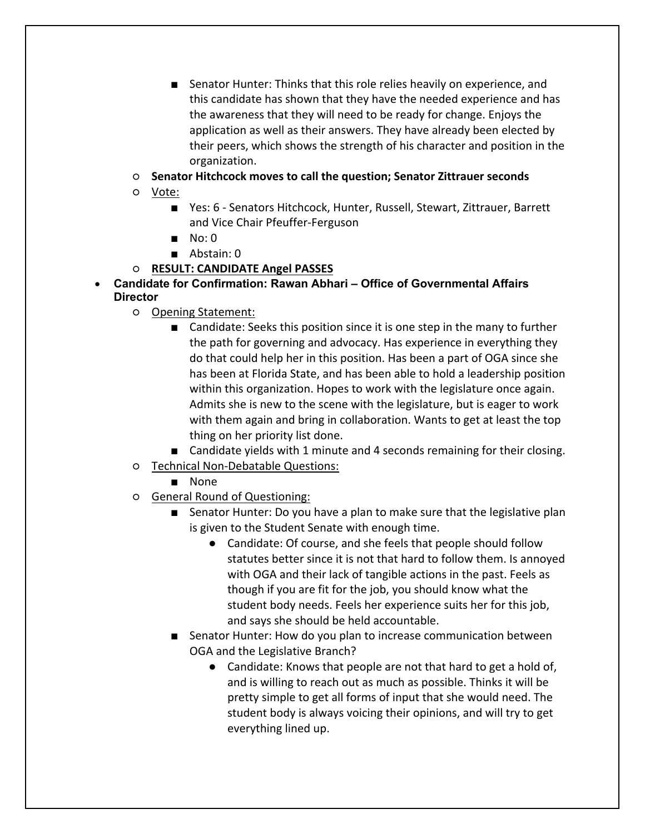- Senator Hunter: Thinks that this role relies heavily on experience, and this candidate has shown that they have the needed experience and has the awareness that they will need to be ready for change. Enjoys the application as well as their answers. They have already been elected by their peers, which shows the strength of his character and position in the organization.
- **Senator Hitchcock moves to call the question; Senator Zittrauer seconds**
- Vote:
	- Yes: 6 Senators Hitchcock, Hunter, Russell, Stewart, Zittrauer, Barrett and Vice Chair Pfeuffer-Ferguson
	- No: 0
	- Abstain: 0
- **RESULT: CANDIDATE Angel PASSES**
- **Candidate for Confirmation: Rawan Abhari – Office of Governmental Affairs Director**
	- Opening Statement:
		- Candidate: Seeks this position since it is one step in the many to further the path for governing and advocacy. Has experience in everything they do that could help her in this position. Has been a part of OGA since she has been at Florida State, and has been able to hold a leadership position within this organization. Hopes to work with the legislature once again. Admits she is new to the scene with the legislature, but is eager to work with them again and bring in collaboration. Wants to get at least the top thing on her priority list done.
		- Candidate yields with 1 minute and 4 seconds remaining for their closing.
	- Technical Non-Debatable Questions:
		- None
	- General Round of Questioning:
		- Senator Hunter: Do you have a plan to make sure that the legislative plan is given to the Student Senate with enough time.
			- Candidate: Of course, and she feels that people should follow statutes better since it is not that hard to follow them. Is annoyed with OGA and their lack of tangible actions in the past. Feels as though if you are fit for the job, you should know what the student body needs. Feels her experience suits her for this job, and says she should be held accountable.
		- Senator Hunter: How do you plan to increase communication between OGA and the Legislative Branch?
			- Candidate: Knows that people are not that hard to get a hold of, and is willing to reach out as much as possible. Thinks it will be pretty simple to get all forms of input that she would need. The student body is always voicing their opinions, and will try to get everything lined up.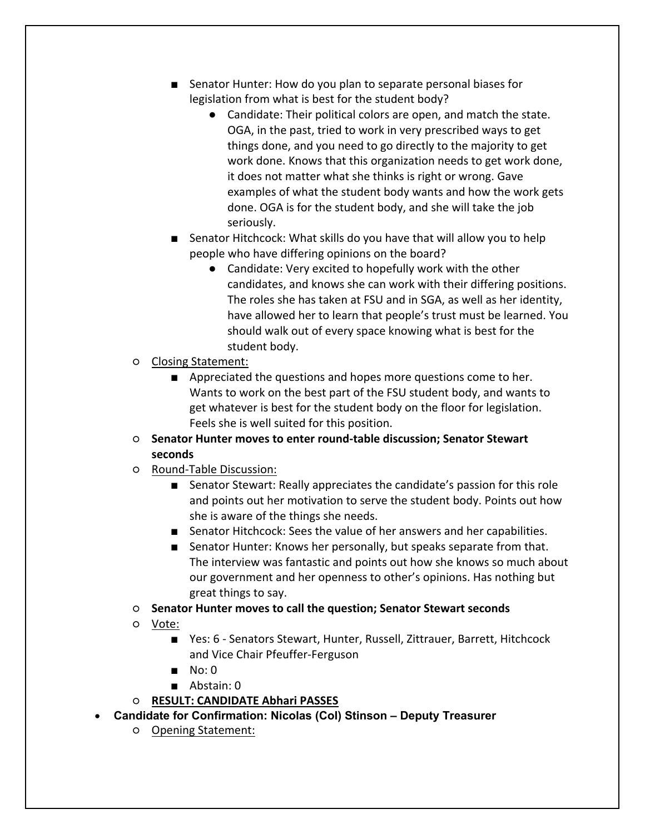- Senator Hunter: How do you plan to separate personal biases for legislation from what is best for the student body?
	- Candidate: Their political colors are open, and match the state. OGA, in the past, tried to work in very prescribed ways to get things done, and you need to go directly to the majority to get work done. Knows that this organization needs to get work done, it does not matter what she thinks is right or wrong. Gave examples of what the student body wants and how the work gets done. OGA is for the student body, and she will take the job seriously.
- Senator Hitchcock: What skills do you have that will allow you to help people who have differing opinions on the board?
	- Candidate: Very excited to hopefully work with the other candidates, and knows she can work with their differing positions. The roles she has taken at FSU and in SGA, as well as her identity, have allowed her to learn that people's trust must be learned. You should walk out of every space knowing what is best for the student body.
- Closing Statement:
	- Appreciated the questions and hopes more questions come to her. Wants to work on the best part of the FSU student body, and wants to get whatever is best for the student body on the floor for legislation. Feels she is well suited for this position.
- **Senator Hunter moves to enter round-table discussion; Senator Stewart seconds**
- Round-Table Discussion:
	- Senator Stewart: Really appreciates the candidate's passion for this role and points out her motivation to serve the student body. Points out how she is aware of the things she needs.
	- Senator Hitchcock: Sees the value of her answers and her capabilities.
	- Senator Hunter: Knows her personally, but speaks separate from that. The interview was fantastic and points out how she knows so much about our government and her openness to other's opinions. Has nothing but great things to say.
- **Senator Hunter moves to call the question; Senator Stewart seconds**
- Vote:
	- Yes: 6 Senators Stewart, Hunter, Russell, Zittrauer, Barrett, Hitchcock and Vice Chair Pfeuffer-Ferguson
	- No: 0
	- Abstain: 0
- **RESULT: CANDIDATE Abhari PASSES**
- **Candidate for Confirmation: Nicolas (Col) Stinson – Deputy Treasurer**
	- Opening Statement: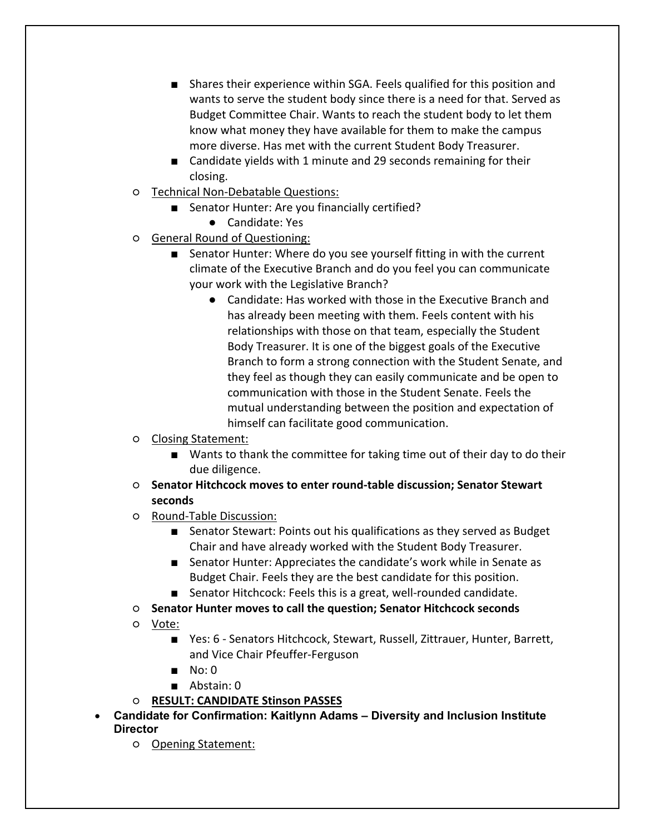- Shares their experience within SGA. Feels qualified for this position and wants to serve the student body since there is a need for that. Served as Budget Committee Chair. Wants to reach the student body to let them know what money they have available for them to make the campus more diverse. Has met with the current Student Body Treasurer.
- Candidate yields with 1 minute and 29 seconds remaining for their closing.
- Technical Non-Debatable Questions:
	- Senator Hunter: Are you financially certified?
		- Candidate: Yes
- General Round of Questioning:
	- Senator Hunter: Where do you see yourself fitting in with the current climate of the Executive Branch and do you feel you can communicate your work with the Legislative Branch?
		- Candidate: Has worked with those in the Executive Branch and has already been meeting with them. Feels content with his relationships with those on that team, especially the Student Body Treasurer. It is one of the biggest goals of the Executive Branch to form a strong connection with the Student Senate, and they feel as though they can easily communicate and be open to communication with those in the Student Senate. Feels the mutual understanding between the position and expectation of himself can facilitate good communication.
- Closing Statement:
	- Wants to thank the committee for taking time out of their day to do their due diligence.
- **Senator Hitchcock moves to enter round-table discussion; Senator Stewart seconds**
- Round-Table Discussion:
	- Senator Stewart: Points out his qualifications as they served as Budget Chair and have already worked with the Student Body Treasurer.
	- Senator Hunter: Appreciates the candidate's work while in Senate as Budget Chair. Feels they are the best candidate for this position.
	- Senator Hitchcock: Feels this is a great, well-rounded candidate.
- **Senator Hunter moves to call the question; Senator Hitchcock seconds**
- Vote:
	- Yes: 6 Senators Hitchcock, Stewart, Russell, Zittrauer, Hunter, Barrett, and Vice Chair Pfeuffer-Ferguson
	- No: 0
	- Abstain: 0
- **RESULT: CANDIDATE Stinson PASSES**
- **Candidate for Confirmation: Kaitlynn Adams – Diversity and Inclusion Institute Director**
	- Opening Statement: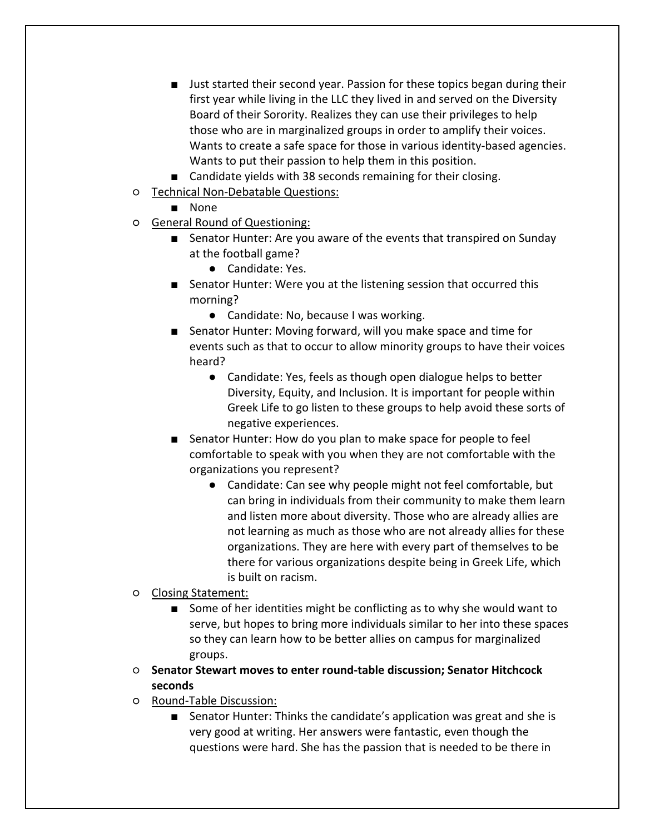- Just started their second year. Passion for these topics began during their first year while living in the LLC they lived in and served on the Diversity Board of their Sorority. Realizes they can use their privileges to help those who are in marginalized groups in order to amplify their voices. Wants to create a safe space for those in various identity-based agencies. Wants to put their passion to help them in this position.
- Candidate yields with 38 seconds remaining for their closing.
- Technical Non-Debatable Questions:
	- None
- General Round of Questioning:
	- Senator Hunter: Are you aware of the events that transpired on Sunday at the football game?
		- Candidate: Yes.
	- Senator Hunter: Were you at the listening session that occurred this morning?
		- Candidate: No, because I was working.
	- Senator Hunter: Moving forward, will you make space and time for events such as that to occur to allow minority groups to have their voices heard?
		- Candidate: Yes, feels as though open dialogue helps to better Diversity, Equity, and Inclusion. It is important for people within Greek Life to go listen to these groups to help avoid these sorts of negative experiences.
	- Senator Hunter: How do you plan to make space for people to feel comfortable to speak with you when they are not comfortable with the organizations you represent?
		- Candidate: Can see why people might not feel comfortable, but can bring in individuals from their community to make them learn and listen more about diversity. Those who are already allies are not learning as much as those who are not already allies for these organizations. They are here with every part of themselves to be there for various organizations despite being in Greek Life, which is built on racism.
- Closing Statement:
	- Some of her identities might be conflicting as to why she would want to serve, but hopes to bring more individuals similar to her into these spaces so they can learn how to be better allies on campus for marginalized groups.
- **Senator Stewart moves to enter round-table discussion; Senator Hitchcock seconds**
- Round-Table Discussion:
	- Senator Hunter: Thinks the candidate's application was great and she is very good at writing. Her answers were fantastic, even though the questions were hard. She has the passion that is needed to be there in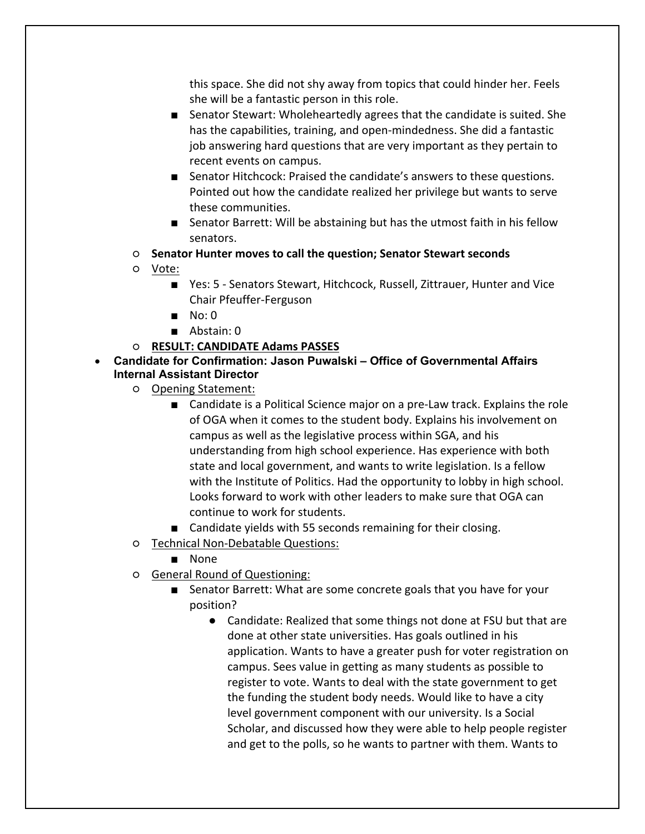this space. She did not shy away from topics that could hinder her. Feels she will be a fantastic person in this role.

- Senator Stewart: Wholeheartedly agrees that the candidate is suited. She has the capabilities, training, and open-mindedness. She did a fantastic job answering hard questions that are very important as they pertain to recent events on campus.
- Senator Hitchcock: Praised the candidate's answers to these questions. Pointed out how the candidate realized her privilege but wants to serve these communities.
- Senator Barrett: Will be abstaining but has the utmost faith in his fellow senators.
- **Senator Hunter moves to call the question; Senator Stewart seconds**
- Vote:
	- Yes: 5 Senators Stewart, Hitchcock, Russell, Zittrauer, Hunter and Vice Chair Pfeuffer-Ferguson
	- No: 0
	- Abstain: 0
- **RESULT: CANDIDATE Adams PASSES**
- **Candidate for Confirmation: Jason Puwalski – Office of Governmental Affairs Internal Assistant Director**
	- Opening Statement:
		- Candidate is a Political Science major on a pre-Law track. Explains the role of OGA when it comes to the student body. Explains his involvement on campus as well as the legislative process within SGA, and his understanding from high school experience. Has experience with both state and local government, and wants to write legislation. Is a fellow with the Institute of Politics. Had the opportunity to lobby in high school. Looks forward to work with other leaders to make sure that OGA can continue to work for students.
		- Candidate vields with 55 seconds remaining for their closing.
	- Technical Non-Debatable Questions:
		- None
	- General Round of Questioning:
		- Senator Barrett: What are some concrete goals that you have for your position?
			- Candidate: Realized that some things not done at FSU but that are done at other state universities. Has goals outlined in his application. Wants to have a greater push for voter registration on campus. Sees value in getting as many students as possible to register to vote. Wants to deal with the state government to get the funding the student body needs. Would like to have a city level government component with our university. Is a Social Scholar, and discussed how they were able to help people register and get to the polls, so he wants to partner with them. Wants to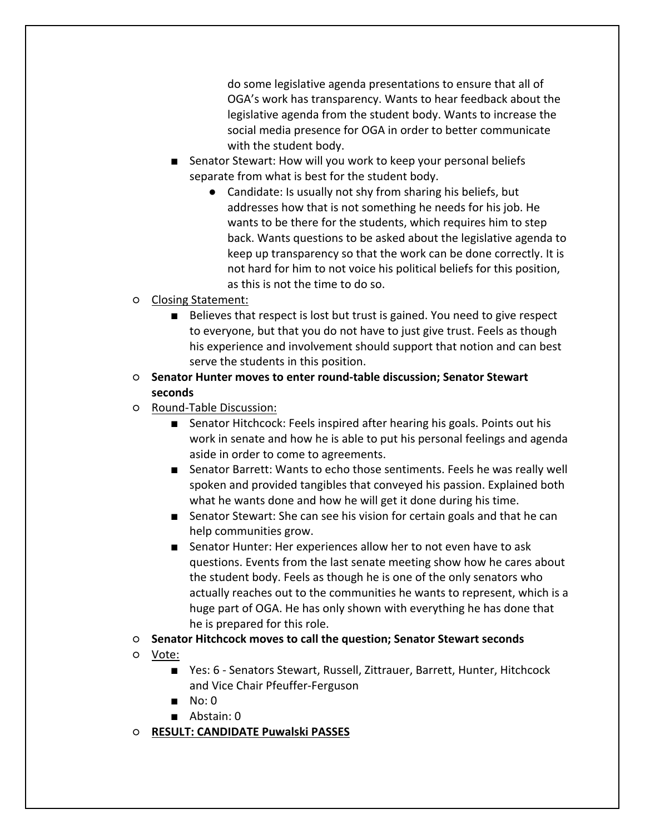do some legislative agenda presentations to ensure that all of OGA's work has transparency. Wants to hear feedback about the legislative agenda from the student body. Wants to increase the social media presence for OGA in order to better communicate with the student body.

- Senator Stewart: How will you work to keep your personal beliefs separate from what is best for the student body.
	- Candidate: Is usually not shy from sharing his beliefs, but addresses how that is not something he needs for his job. He wants to be there for the students, which requires him to step back. Wants questions to be asked about the legislative agenda to keep up transparency so that the work can be done correctly. It is not hard for him to not voice his political beliefs for this position, as this is not the time to do so.
- Closing Statement:
	- Believes that respect is lost but trust is gained. You need to give respect to everyone, but that you do not have to just give trust. Feels as though his experience and involvement should support that notion and can best serve the students in this position.
- **Senator Hunter moves to enter round-table discussion; Senator Stewart seconds**
- Round-Table Discussion:
	- Senator Hitchcock: Feels inspired after hearing his goals. Points out his work in senate and how he is able to put his personal feelings and agenda aside in order to come to agreements.
	- Senator Barrett: Wants to echo those sentiments. Feels he was really well spoken and provided tangibles that conveyed his passion. Explained both what he wants done and how he will get it done during his time.
	- Senator Stewart: She can see his vision for certain goals and that he can help communities grow.
	- Senator Hunter: Her experiences allow her to not even have to ask questions. Events from the last senate meeting show how he cares about the student body. Feels as though he is one of the only senators who actually reaches out to the communities he wants to represent, which is a huge part of OGA. He has only shown with everything he has done that he is prepared for this role.
- **Senator Hitchcock moves to call the question; Senator Stewart seconds**
- Vote:
	- Yes: 6 Senators Stewart, Russell, Zittrauer, Barrett, Hunter, Hitchcock and Vice Chair Pfeuffer-Ferguson
	- No: 0
	- Abstain: 0
- **RESULT: CANDIDATE Puwalski PASSES**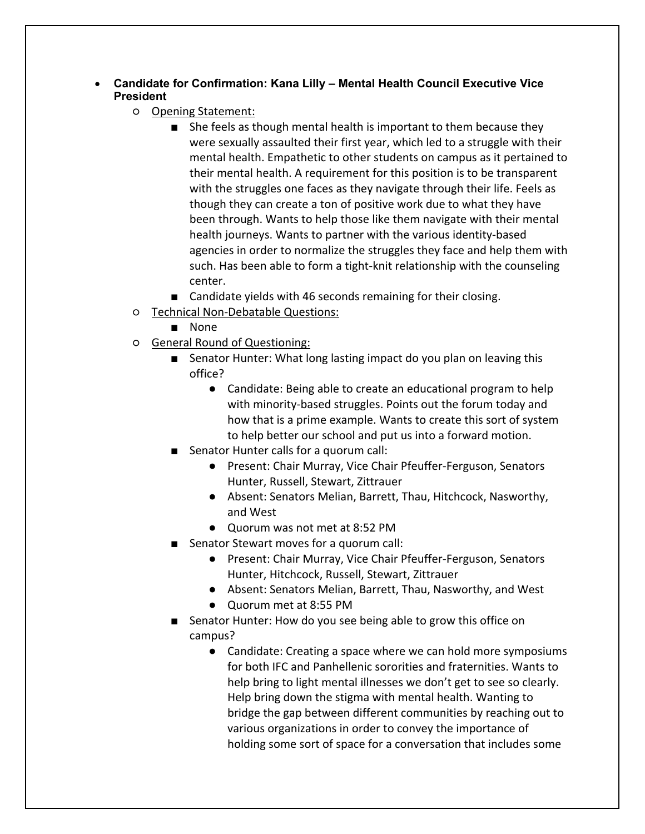## • **Candidate for Confirmation: Kana Lilly – Mental Health Council Executive Vice President**

- Opening Statement:
	- She feels as though mental health is important to them because they were sexually assaulted their first year, which led to a struggle with their mental health. Empathetic to other students on campus as it pertained to their mental health. A requirement for this position is to be transparent with the struggles one faces as they navigate through their life. Feels as though they can create a ton of positive work due to what they have been through. Wants to help those like them navigate with their mental health journeys. Wants to partner with the various identity-based agencies in order to normalize the struggles they face and help them with such. Has been able to form a tight-knit relationship with the counseling center.
	- Candidate yields with 46 seconds remaining for their closing.
- Technical Non-Debatable Questions:
	- None
- General Round of Questioning:
	- Senator Hunter: What long lasting impact do you plan on leaving this office?
		- Candidate: Being able to create an educational program to help with minority-based struggles. Points out the forum today and how that is a prime example. Wants to create this sort of system to help better our school and put us into a forward motion.
	- Senator Hunter calls for a quorum call:
		- Present: Chair Murray, Vice Chair Pfeuffer-Ferguson, Senators Hunter, Russell, Stewart, Zittrauer
		- Absent: Senators Melian, Barrett, Thau, Hitchcock, Nasworthy, and West
		- Quorum was not met at 8:52 PM
	- Senator Stewart moves for a quorum call:
		- Present: Chair Murray, Vice Chair Pfeuffer-Ferguson, Senators Hunter, Hitchcock, Russell, Stewart, Zittrauer
		- Absent: Senators Melian, Barrett, Thau, Nasworthy, and West
		- Quorum met at 8:55 PM
	- Senator Hunter: How do you see being able to grow this office on campus?
		- Candidate: Creating a space where we can hold more symposiums for both IFC and Panhellenic sororities and fraternities. Wants to help bring to light mental illnesses we don't get to see so clearly. Help bring down the stigma with mental health. Wanting to bridge the gap between different communities by reaching out to various organizations in order to convey the importance of holding some sort of space for a conversation that includes some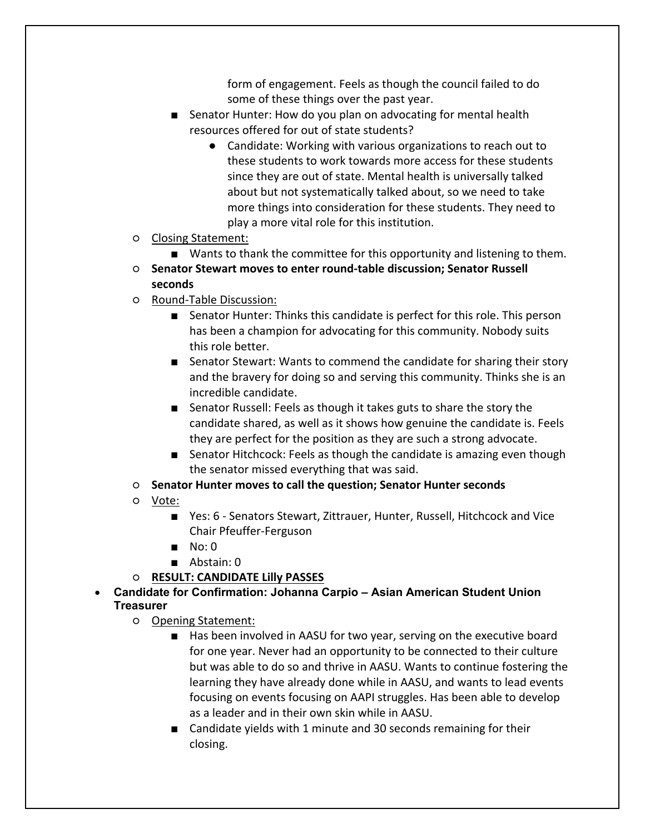form of engagement. Feels as though the council failed to do some of these things over the past year.

- Senator Hunter: How do you plan on advocating for mental health resources offered for out of state students?
	- Candidate: Working with various organizations to reach out to these students to work towards more access for these students since they are out of state. Mental health is universally talked about but not systematically talked about, so we need to take more things into consideration for these students. They need to play a more vital role for this institution.
- Closing Statement:
	- Wants to thank the committee for this opportunity and listening to them.
- **Senator Stewart moves to enter round-table discussion; Senator Russell seconds**
- Round-Table Discussion:
	- Senator Hunter: Thinks this candidate is perfect for this role. This person has been a champion for advocating for this community. Nobody suits this role better.
	- Senator Stewart: Wants to commend the candidate for sharing their story and the bravery for doing so and serving this community. Thinks she is an incredible candidate.
	- Senator Russell: Feels as though it takes guts to share the story the candidate shared, as well as it shows how genuine the candidate is. Feels they are perfect for the position as they are such a strong advocate.
	- Senator Hitchcock: Feels as though the candidate is amazing even though the senator missed everything that was said.
- **Senator Hunter moves to call the question; Senator Hunter seconds**
- Vote:
	- Yes: 6 Senators Stewart, Zittrauer, Hunter, Russell, Hitchcock and Vice Chair Pfeuffer-Ferguson
	- No: 0
	- Abstain: 0
- **RESULT: CANDIDATE Lilly PASSES**
- **Candidate for Confirmation: Johanna Carpio – Asian American Student Union Treasurer**
	- Opening Statement:
		- Has been involved in AASU for two year, serving on the executive board for one year. Never had an opportunity to be connected to their culture but was able to do so and thrive in AASU. Wants to continue fostering the learning they have already done while in AASU, and wants to lead events focusing on events focusing on AAPI struggles. Has been able to develop as a leader and in their own skin while in AASU.
		- Candidate yields with 1 minute and 30 seconds remaining for their closing.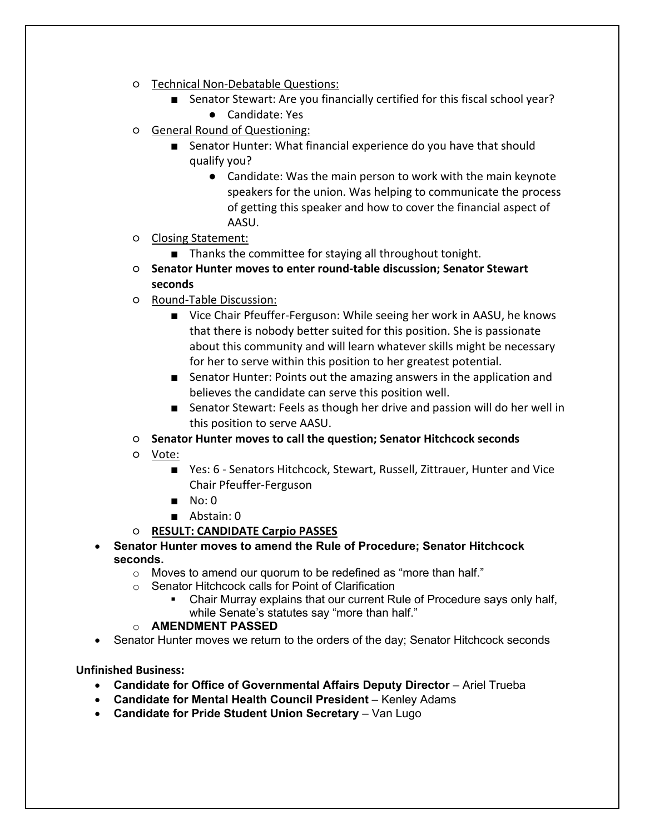- Technical Non-Debatable Questions:
	- Senator Stewart: Are you financially certified for this fiscal school year? ● Candidate: Yes
- General Round of Questioning:
	- Senator Hunter: What financial experience do you have that should qualify you?
		- Candidate: Was the main person to work with the main keynote speakers for the union. Was helping to communicate the process of getting this speaker and how to cover the financial aspect of AASU.
- Closing Statement:
	- Thanks the committee for staying all throughout tonight.
- **Senator Hunter moves to enter round-table discussion; Senator Stewart seconds**
- Round-Table Discussion:
	- Vice Chair Pfeuffer-Ferguson: While seeing her work in AASU, he knows that there is nobody better suited for this position. She is passionate about this community and will learn whatever skills might be necessary for her to serve within this position to her greatest potential.
	- Senator Hunter: Points out the amazing answers in the application and believes the candidate can serve this position well.
	- Senator Stewart: Feels as though her drive and passion will do her well in this position to serve AASU.
- **Senator Hunter moves to call the question; Senator Hitchcock seconds**
- Vote:
	- Yes: 6 Senators Hitchcock, Stewart, Russell, Zittrauer, Hunter and Vice Chair Pfeuffer-Ferguson
	- No: 0
	- Abstain: 0
- **RESULT: CANDIDATE Carpio PASSES**
- **Senator Hunter moves to amend the Rule of Procedure; Senator Hitchcock seconds.**
	- o Moves to amend our quorum to be redefined as "more than half."
	- o Senator Hitchcock calls for Point of Clarification
		- § Chair Murray explains that our current Rule of Procedure says only half, while Senate's statutes say "more than half."

#### o **AMENDMENT PASSED**

• Senator Hunter moves we return to the orders of the day; Senator Hitchcock seconds

**Unfinished Business:** 

- **Candidate for Office of Governmental Affairs Deputy Director** Ariel Trueba
- **Candidate for Mental Health Council President** Kenley Adams
- **Candidate for Pride Student Union Secretary** Van Lugo